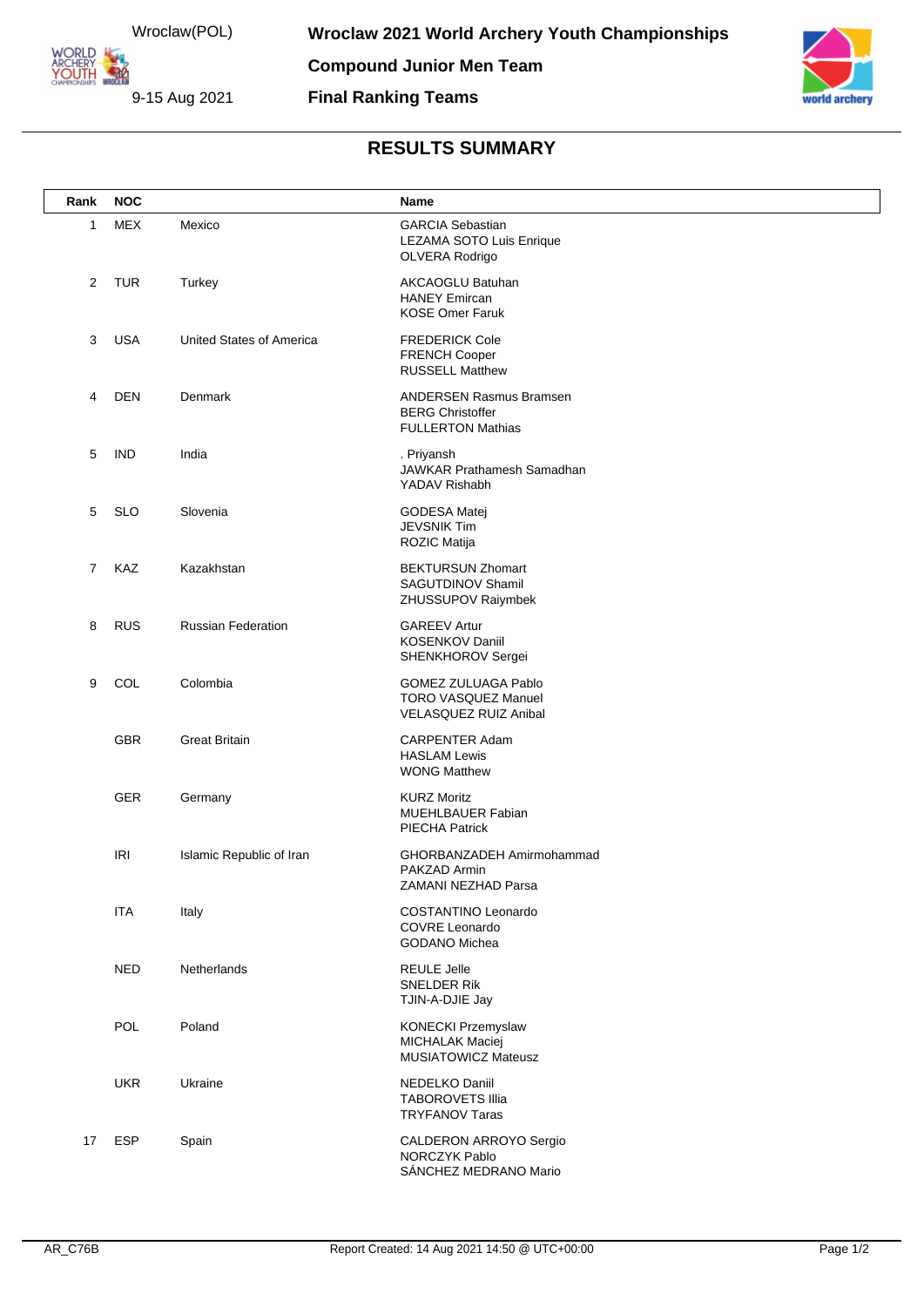Wroclaw(POL) ARCHERY<br>YOUTH 422

**ORLD** 

9-15 Aug 2021



## **RESULTS SUMMARY**

**Final Ranking Teams**

| Rank           | <b>NOC</b> |                           | Name                                                                                     |
|----------------|------------|---------------------------|------------------------------------------------------------------------------------------|
| $\mathbf{1}$   | <b>MEX</b> | Mexico                    | <b>GARCIA Sebastian</b><br>LEZAMA SOTO Luis Enrique<br>OLVERA Rodrigo                    |
| 2              | <b>TUR</b> | Turkey                    | AKCAOGLU Batuhan<br><b>HANEY Emircan</b><br><b>KOSE Omer Faruk</b>                       |
| 3              | <b>USA</b> | United States of America  | <b>FREDERICK Cole</b><br><b>FRENCH Cooper</b><br><b>RUSSELL Matthew</b>                  |
| 4              | DEN        | Denmark                   | <b>ANDERSEN Rasmus Bramsen</b><br><b>BERG Christoffer</b><br><b>FULLERTON Mathias</b>    |
| 5              | <b>IND</b> | India                     | . Priyansh<br>JAWKAR Prathamesh Samadhan<br>YADAV Rishabh                                |
| 5              | <b>SLO</b> | Slovenia                  | GODESA Matej<br><b>JEVSNIK Tim</b><br><b>ROZIC Matija</b>                                |
| $\overline{7}$ | KAZ        | Kazakhstan                | <b>BEKTURSUN Zhomart</b><br>SAGUTDINOV Shamil<br>ZHUSSUPOV Raiymbek                      |
| 8              | <b>RUS</b> | <b>Russian Federation</b> | <b>GAREEV Artur</b><br>KOSENKOV Daniil<br>SHENKHOROV Sergei                              |
| 9              | COL        | Colombia                  | <b>GOMEZ ZULUAGA Pablo</b><br><b>TORO VASQUEZ Manuel</b><br><b>VELASQUEZ RUIZ Anibal</b> |
|                | <b>GBR</b> | <b>Great Britain</b>      | <b>CARPENTER Adam</b><br><b>HASLAM Lewis</b><br><b>WONG Matthew</b>                      |
|                | GER        | Germany                   | <b>KURZ Moritz</b><br><b>MUEHLBAUER Fabian</b><br><b>PIECHA Patrick</b>                  |
|                | <b>IRI</b> | Islamic Republic of Iran  | GHORBANZADEH Amirmohammad<br>PAKZAD Armin<br>ZAMANI NEZHAD Parsa                         |
|                | <b>ITA</b> | Italy                     | COSTANTINO Leonardo<br><b>COVRE Leonardo</b><br><b>GODANO Michea</b>                     |
|                | <b>NED</b> | Netherlands               | <b>REULE Jelle</b><br><b>SNELDER Rik</b><br>TJIN-A-DJIE Jay                              |
|                | POL        | Poland                    | KONECKI Przemyslaw<br>MICHALAK Maciej<br><b>MUSIATOWICZ Mateusz</b>                      |
|                | <b>UKR</b> | Ukraine                   | NEDELKO Daniil<br><b>TABOROVETS Illia</b><br><b>TRYFANOV Taras</b>                       |
| 17             | ESP        | Spain                     | CALDERON ARROYO Sergio<br>NORCZYK Pablo<br>SÁNCHEZ MEDRANO Mario                         |